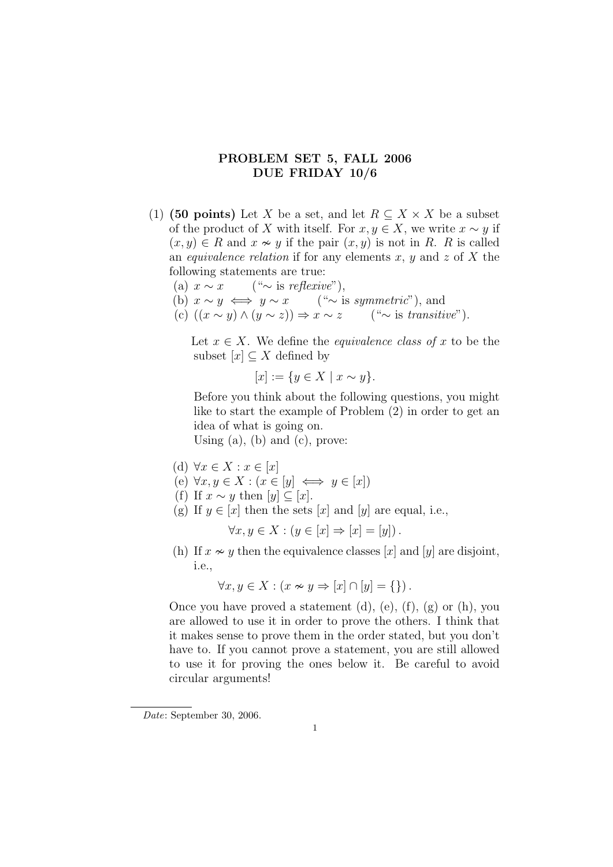## PROBLEM SET 5, FALL 2006 DUE FRIDAY 10/6

- (1) (50 points) Let X be a set, and let  $R \subseteq X \times X$  be a subset of the product of X with itself. For  $x, y \in X$ , we write  $x \sim y$  if  $(x, y) \in R$  and  $x \nsim y$  if the pair  $(x, y)$  is not in R. R is called an *equivalence relation* if for any elements x, y and z of X the following statements are true:
	- (a)  $x \sim x$  (" $\sim$  is reflexive"),
	- (b)  $x \sim y \iff y \sim x$  ("∼ is symmetric"), and
	- (c)  $((x \sim y) \land (y \sim z)) \Rightarrow x \sim z$  (" $\sim$  is transitive").

Let  $x \in X$ . We define the *equivalence class of* x to be the subset  $[x] \subset X$  defined by

 $[x] := \{y \in X \mid x \sim y\}.$ 

Before you think about the following questions, you might like to start the example of Problem (2) in order to get an idea of what is going on.

Using  $(a)$ ,  $(b)$  and  $(c)$ , prove:

- (d)  $\forall x \in X : x \in [x]$
- (e)  $\forall x, y \in X : (x \in [y] \iff y \in [x])$
- (f) If  $x \sim y$  then  $[y] \subseteq [x]$ .
- (g) If  $y \in [x]$  then the sets  $[x]$  and  $[y]$  are equal, i.e.,

$$
\forall x, y \in X : (y \in [x] \Rightarrow [x] = [y]).
$$

(h) If  $x \nsim y$  then the equivalence classes [x] and [y] are disjoint, i.e.,

$$
\forall x, y \in X : (x \nsim y \Rightarrow [x] \cap [y] = \{\}) .
$$

Once you have proved a statement  $(d)$ ,  $(e)$ ,  $(f)$ ,  $(g)$  or  $(h)$ , you are allowed to use it in order to prove the others. I think that it makes sense to prove them in the order stated, but you don't have to. If you cannot prove a statement, you are still allowed to use it for proving the ones below it. Be careful to avoid circular arguments!

Date: September 30, 2006.